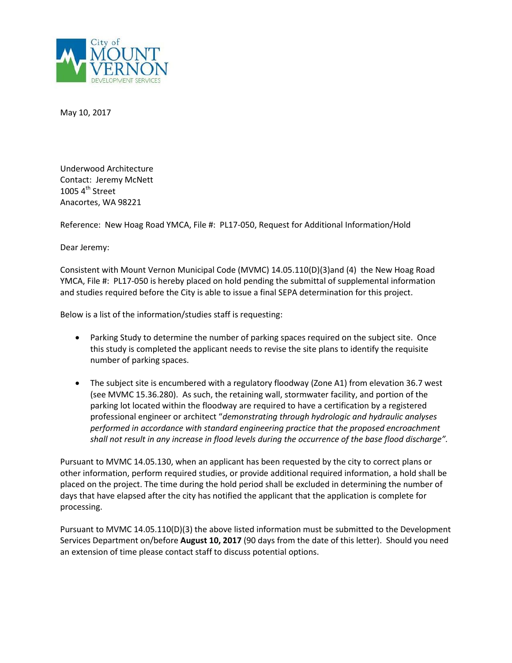

May 10, 2017

Underwood Architecture Contact: Jeremy McNett 1005 $4<sup>th</sup>$  Street Anacortes, WA 98221

Reference: New Hoag Road YMCA, File #: PL17-050, Request for Additional Information/Hold

Dear Jeremy:

Consistent with Mount Vernon Municipal Code (MVMC) 14.05.110(D)(3)and (4) the New Hoag Road YMCA, File #: PL17-050 is hereby placed on hold pending the submittal of supplemental information and studies required before the City is able to issue a final SEPA determination for this project.

Below is a list of the information/studies staff is requesting:

- Parking Study to determine the number of parking spaces required on the subject site. Once this study is completed the applicant needs to revise the site plans to identify the requisite number of parking spaces.
- The subject site is encumbered with a regulatory floodway (Zone A1) from elevation 36.7 west (see MVMC 15.36.280). As such, the retaining wall, stormwater facility, and portion of the parking lot located within the floodway are required to have a certification by a registered professional engineer or architect "*demonstrating through hydrologic and hydraulic analyses performed in accordance with standard engineering practice that the proposed encroachment shall not result in any increase in flood levels during the occurrence of the base flood discharge".*

Pursuant to MVMC 14.05.130, when an applicant has been requested by the city to correct plans or other information, perform required studies, or provide additional required information, a hold shall be placed on the project. The time during the hold period shall be excluded in determining the number of days that have elapsed after the city has notified the applicant that the application is complete for processing.

Pursuant to MVMC 14.05.110(D)(3) the above listed information must be submitted to the Development Services Department on/before **August 10, 2017** (90 days from the date of this letter). Should you need an extension of time please contact staff to discuss potential options.